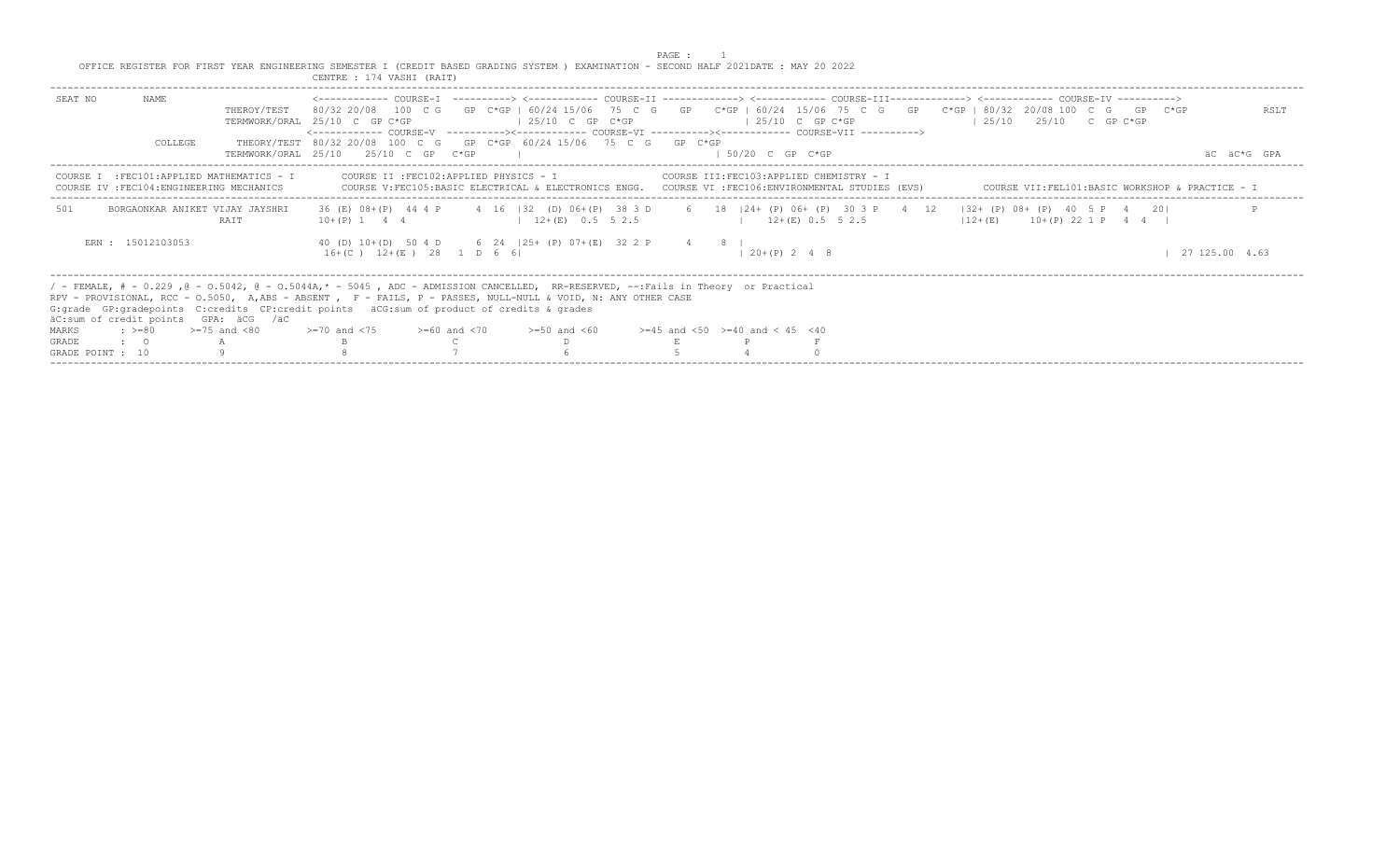PAGE : 1<br>OFFICE REGISTER FOR FIRST YEAR ENGINEERING SEMESTER I (CREDIT BASED GRADING SYSTEM ) EXAMINATION - SECOND HALF 2021DATE : MAY 20 2022<br>CENTRE : 174 VASHI (RAIT)

| <------------ COURSE-T ----------> <----------- COURSE-TT -------------> <------------ COURSE-TTT------------> <------------ COURSE-TV -----------><br>NAME<br>SEAT NO<br>80/32 20/08 100 C G GP C*GP   60/24 15/06 75 C G GP C*GP   60/24 15/06 75 C G GP C*GP   80/32 20/08 100 C G GP C*GP<br>THEROY/TEST<br>RSLT<br>$125/10$ $25/10$ C GP C*GP<br>$125/10$ C GP C*GP<br>$\vert$ 25/10 C GP C*GP<br>TERMWORK/ORAL 25/10 C GP C*GP<br><------------- COURSE-V ----------><----------- COURSE-VI ----------><----------- COURSE-VII -----------><br>THEORY/TEST 80/32 20/08 100 C G GP C*GP 60/24 15/06 75 C G GP C*GP<br>COLLEGE<br>TERMWORK/ORAL 25/10 25/10 C GP C*GP<br>$1.50/20$ C GP C*GP<br>AC AC*G GPA<br>COURSE II :FEC102:APPLIED PHYSICS - I<br>COURSE III:FEC103:APPLIED CHEMISTRY - I<br>COURSE I : FEC101: APPLIED MATHEMATICS - I<br>COURSE IV : FEC104: ENGINEERING MECHANICS<br>COURSE V:FEC105:BASIC ELECTRICAL & ELECTRONICS ENGG. COURSE VI :FEC106:ENVIRONMENTAL STUDIES (EVS)<br>COURSE VII:FEL101:BASIC WORKSHOP & PRACTICE - I<br>36 (E) 08+ (P) 44 4 P 4 16   32 (D) 06+ (P) 38 3 D 6 18   24+ (P) 06+ (P) 30 3 P 4 12   32+ (P) 08+ (P) 40 5 P 4<br>501<br>201<br>BORGAONKAR ANIKET VIJAY JAYSHRI<br>$12+(E)$ 0.5 5 2.5<br>$12+(E)$ 0.5 5 2.5<br><b>RATT</b><br>$10+(P)$ 1 4 4<br>$12+(E)$ $10+(P)$ 22 1 P 4 4 I<br>ERN : 15012103053<br>40 (D) 10 + (D) 50 4 D 6 24   25 + (P) 07 + (E) 32 2 P 4 8  <br>$16+(C)$ $12+(E)$ 28 1 D 6 6<br>$120+(P) 248$<br>127125.004.63<br>/ - FEMALE, # - 0.229 ,0 - 0.5042, 0 - 0.5044A,* - 5045 , ADC - ADMISSION CANCELLED, RR-RESERVED, --:Fails in Theory or Practical<br>RPV - PROVISIONAL, RCC - 0.5050, A,ABS - ABSENT , F - FAILS, P - PASSES, NULL-NULL & VOID, N: ANY OTHER CASE<br>G: qrade GP: qradepoints C: credits CP: credit points äCG: sum of product of credits & qrades<br>äC:sum of credit points GPA: äCG /äC<br>$\div$ >=80 >=75 and <80<br>$>=70$ and $<75$ $>=60$ and $<70$<br>$>=45$ and $<50$ $>=40$ and $< 45$ $<40$ |              |  |  |                  |  |  |  |  |
|---------------------------------------------------------------------------------------------------------------------------------------------------------------------------------------------------------------------------------------------------------------------------------------------------------------------------------------------------------------------------------------------------------------------------------------------------------------------------------------------------------------------------------------------------------------------------------------------------------------------------------------------------------------------------------------------------------------------------------------------------------------------------------------------------------------------------------------------------------------------------------------------------------------------------------------------------------------------------------------------------------------------------------------------------------------------------------------------------------------------------------------------------------------------------------------------------------------------------------------------------------------------------------------------------------------------------------------------------------------------------------------------------------------------------------------------------------------------------------------------------------------------------------------------------------------------------------------------------------------------------------------------------------------------------------------------------------------------------------------------------------------------------------------------------------------------------------------------------------------------------------------------------------------------------------------------------------------------------------------------------------------|--------------|--|--|------------------|--|--|--|--|
|                                                                                                                                                                                                                                                                                                                                                                                                                                                                                                                                                                                                                                                                                                                                                                                                                                                                                                                                                                                                                                                                                                                                                                                                                                                                                                                                                                                                                                                                                                                                                                                                                                                                                                                                                                                                                                                                                                                                                                                                               |              |  |  |                  |  |  |  |  |
|                                                                                                                                                                                                                                                                                                                                                                                                                                                                                                                                                                                                                                                                                                                                                                                                                                                                                                                                                                                                                                                                                                                                                                                                                                                                                                                                                                                                                                                                                                                                                                                                                                                                                                                                                                                                                                                                                                                                                                                                               |              |  |  |                  |  |  |  |  |
|                                                                                                                                                                                                                                                                                                                                                                                                                                                                                                                                                                                                                                                                                                                                                                                                                                                                                                                                                                                                                                                                                                                                                                                                                                                                                                                                                                                                                                                                                                                                                                                                                                                                                                                                                                                                                                                                                                                                                                                                               |              |  |  |                  |  |  |  |  |
|                                                                                                                                                                                                                                                                                                                                                                                                                                                                                                                                                                                                                                                                                                                                                                                                                                                                                                                                                                                                                                                                                                                                                                                                                                                                                                                                                                                                                                                                                                                                                                                                                                                                                                                                                                                                                                                                                                                                                                                                               |              |  |  |                  |  |  |  |  |
|                                                                                                                                                                                                                                                                                                                                                                                                                                                                                                                                                                                                                                                                                                                                                                                                                                                                                                                                                                                                                                                                                                                                                                                                                                                                                                                                                                                                                                                                                                                                                                                                                                                                                                                                                                                                                                                                                                                                                                                                               |              |  |  |                  |  |  |  |  |
|                                                                                                                                                                                                                                                                                                                                                                                                                                                                                                                                                                                                                                                                                                                                                                                                                                                                                                                                                                                                                                                                                                                                                                                                                                                                                                                                                                                                                                                                                                                                                                                                                                                                                                                                                                                                                                                                                                                                                                                                               |              |  |  |                  |  |  |  |  |
|                                                                                                                                                                                                                                                                                                                                                                                                                                                                                                                                                                                                                                                                                                                                                                                                                                                                                                                                                                                                                                                                                                                                                                                                                                                                                                                                                                                                                                                                                                                                                                                                                                                                                                                                                                                                                                                                                                                                                                                                               | <b>MARKS</b> |  |  | $>=50$ and $<60$ |  |  |  |  |
| $\cdot$ $\cdot$ 0                                                                                                                                                                                                                                                                                                                                                                                                                                                                                                                                                                                                                                                                                                                                                                                                                                                                                                                                                                                                                                                                                                                                                                                                                                                                                                                                                                                                                                                                                                                                                                                                                                                                                                                                                                                                                                                                                                                                                                                             | <b>GRADE</b> |  |  |                  |  |  |  |  |
| GRADE POINT : 10                                                                                                                                                                                                                                                                                                                                                                                                                                                                                                                                                                                                                                                                                                                                                                                                                                                                                                                                                                                                                                                                                                                                                                                                                                                                                                                                                                                                                                                                                                                                                                                                                                                                                                                                                                                                                                                                                                                                                                                              |              |  |  |                  |  |  |  |  |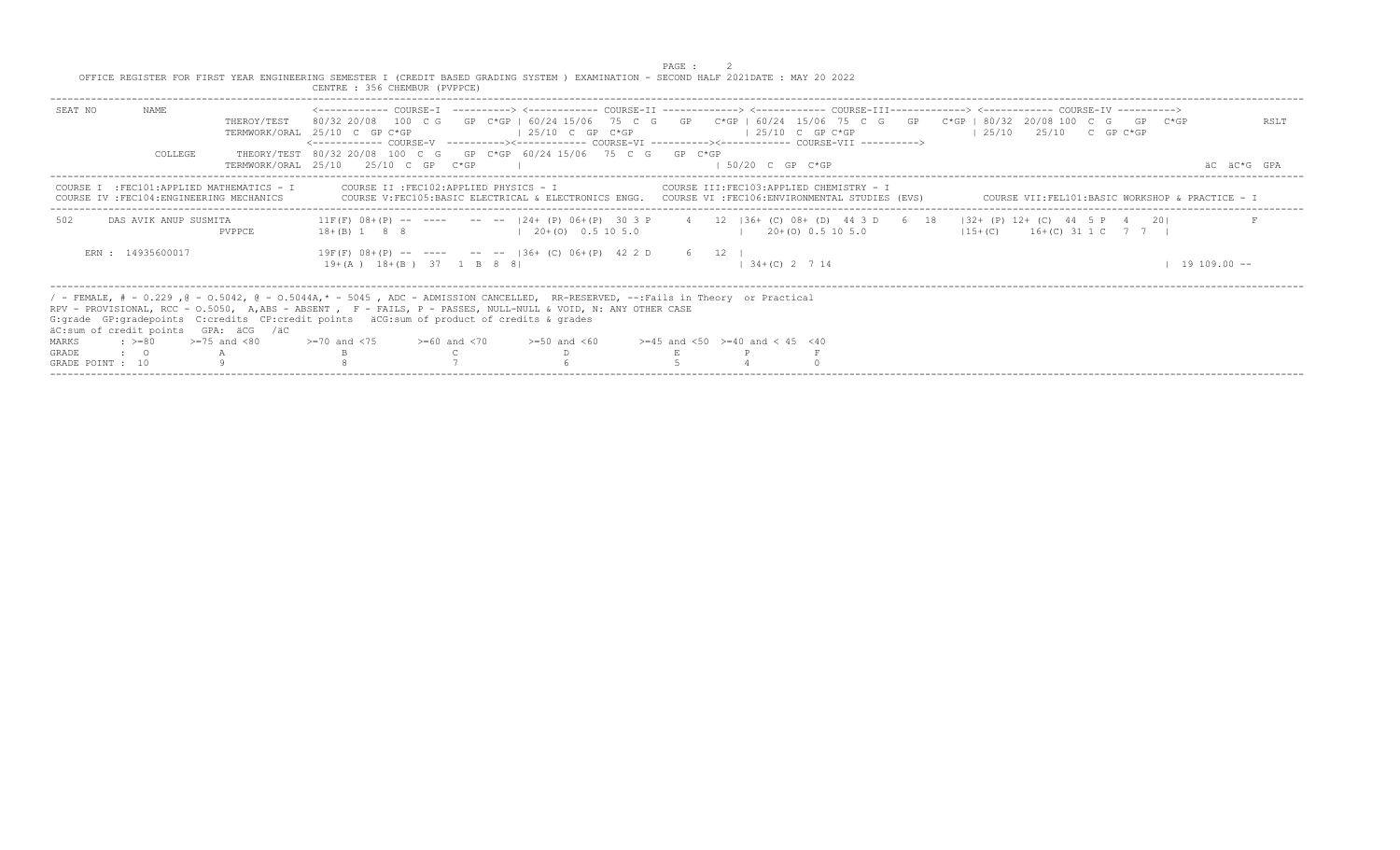|                                                                                                                               | CENTRE: 356 CHEMBUR (PVPPCE)                                                                                                                                                                                                                                                                                                                                                                                                                               |                     |
|-------------------------------------------------------------------------------------------------------------------------------|------------------------------------------------------------------------------------------------------------------------------------------------------------------------------------------------------------------------------------------------------------------------------------------------------------------------------------------------------------------------------------------------------------------------------------------------------------|---------------------|
| NAME.<br>SEAT NO<br>THEROY/TEST<br>COLLEGE<br>TERMWORK/ORAT 25/10                                                             | 80/32 20/08 100 C G GP C*GP   60/24 15/06 75 C G GP C*GP   60/24 15/06 75 C G GP C*GP   80/32 20/08 100 C G GP C*GP<br>$125/10$ C GP C*GP<br>$125/10$ $25/10$ C GP C*GP<br>TERMWORK/ORAL 25/10 C GP C*GP<br>$125/10$ C GP C*GP<br><------------ COURSE-V ----------><----------- COURSE-VI ----------><----------- COURSE-VII -----------><br>THEORY/TEST 80/32 20/08 100 C G GP C*GP 60/24 15/06 75 C G GP C*GP<br>$1.50/20$ C GP C*GP<br>25/10 C GP C*GP | RSLT<br>äC äC*G GPA |
| COURSE I : FEC101: APPLIED MATHEMATICS - I<br>COURSE IV : FEC104: ENGINEERING MECHANICS                                       | COURSE V:FEC105:BASIC ELECTRICAL & ELECTRONICS ENGG. COURSE VI :FEC106:ENVIRONMENTAL STUDIES (EVS)<br>COURSE VII:FEL101:BASIC WORKSHOP & PRACTICE - I                                                                                                                                                                                                                                                                                                      |                     |
| 502<br>DAS AVIK ANUP SUSMITA<br>PVPPCE                                                                                        | 11F(F) 08+(P) -- ---- -- --  24+(P) 06+(P) 30 3 P 4 12  36+(C) 08+(D) 44 3 D 6 18  32+(P) 12+(C) 44 5 P 4 20 <br>$15+(C)$ 16+(C) 31 1 C 7 7  <br>$18+(B)$ 1 8 8 $(20+(O)$ 0.5 10 5.0<br>$1 \t20+(0) \t0.5 \t10 \t5.0$                                                                                                                                                                                                                                      |                     |
| ERN: 14935600017                                                                                                              | $19F(F)$ 08+(P) -- ---- -- -- $136+$ (C) 06+(P) 42 2 D 6 12  <br>19+(A) 18+(B) 37 1 B 8 81<br>$1, 34+(C)$ 2 7 14                                                                                                                                                                                                                                                                                                                                           | $19\ 109.00 -$      |
| äC:sum of credit points GPA: äCG /äC<br>$\approx$ >=80 >=75 and <80<br>MARKS<br><b>GRADE</b><br>$\cdot$ 0<br>GRADE POINT : 10 | / - FEMALE, # - 0.229, @ - 0.5042, @ - 0.5044A,* - 5045, ADC - ADMISSION CANCELLED, RR-RESERVED, --:Fails in Theory or Practical<br>RPV - PROVISIONAL, RCC - 0.5050, A,ABS - ABSENT , F - FAILS, P - PASSES, NULL-NULL & VOID, N: ANY OTHER CASE<br>G: grade GP: gradepoints C: credits CP: credit points äCG: sum of product of credits & grades<br>$> = 70$ and <75 $> = 60$ and <70 $> = 50$ and <60 $> = 45$ and <50 $> = 40$ and < 45 <40             |                     |

PAGE : 2 OFFICE REGISTER FOR FIRST YEAR ENGINEERING SEMESTER I (CREDIT BASED GRADING SYSTEM ) EXAMINATION - SECOND HALF 2021DATE : MAY 20 2022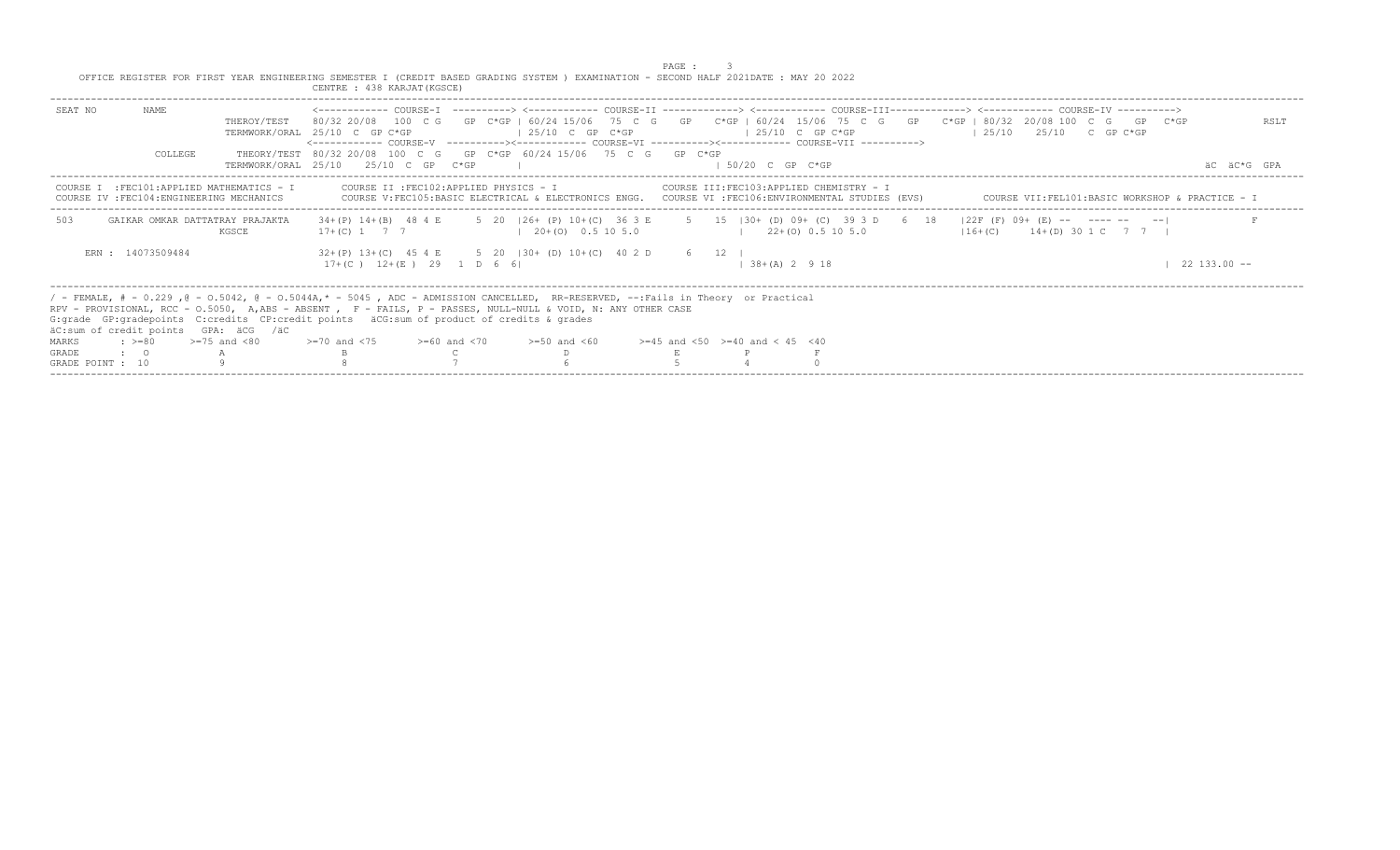|                                                                                                                                                                                                                                                                                                                                                                                        |                                          | OFFICE REGISTER FOR FIRST YEAR ENGINEERING SEMESTER I (CREDIT BASED GRADING SYSTEM ) EXAMINATION - SECOND HALF 2021DATE: MAY 20 2022<br>CENTRE : 438 KARJAT (KGSCE)                                                                                            |                                                                                                                                                                | PAGE :                                    |                                           |                                    |                                                                                                                     |                     |
|----------------------------------------------------------------------------------------------------------------------------------------------------------------------------------------------------------------------------------------------------------------------------------------------------------------------------------------------------------------------------------------|------------------------------------------|----------------------------------------------------------------------------------------------------------------------------------------------------------------------------------------------------------------------------------------------------------------|----------------------------------------------------------------------------------------------------------------------------------------------------------------|-------------------------------------------|-------------------------------------------|------------------------------------|---------------------------------------------------------------------------------------------------------------------|---------------------|
| SEAT NO<br>NAME<br>COLLEGE                                                                                                                                                                                                                                                                                                                                                             | THEROY/TEST                              | TERMWORK/ORAL 25/10 C GP C*GP<br><------------ COURSE-V    ----------><----------- COURSE-VI    ----------><---------- COURSE-VII    ---------->><br>THEORY/TEST 80/32 20/08 100 C G GP C*GP 60/24 15/06 75 C G GP C*GP<br>TERMWORK/ORAL 25/10 25/10 C GP C*GP | $125/10$ C GP C*GP                                                                                                                                             |                                           | $125/10$ C GP C*GP<br>$1.50/20$ C GP C*GP | $125/10$ $25/10$ $25/10$ C GP C*GP | 80/32 20/08 100 C G GP C*GP I 60/24 15/06 75 C G GP C*GP   60/24 15/06 75 C G GP C*GP   80/32 20/08 100 C G GP C*GP | RSLT<br>AC AC*G GPA |
| COURSE I : FEC101: APPLIED MATHEMATICS - I<br>COURSE IV : FEC104: ENGINEERING MECHANICS                                                                                                                                                                                                                                                                                                |                                          |                                                                                                                                                                                                                                                                | COURSE II : FEC102: APPLIED PHYSICS - I<br>COURSE V:FEC105:BASIC ELECTRICAL & ELECTRONICS ENGG. COURSE VI :FEC106:ENVIRONMENTAL STUDIES (EVS)                  | COURSE III: FEC103: APPLIED CHEMISTRY - I |                                           |                                    | COURSE VII:FEL101:BASIC WORKSHOP & PRACTICE - I                                                                     |                     |
| 503                                                                                                                                                                                                                                                                                                                                                                                    | GAIKAR OMKAR DATTATRAY PRAJAKTA<br>KGSCE |                                                                                                                                                                                                                                                                | 34+(P) 14+(B) 48 4 E 5 20   26+ (P) 10+(C) 36 3 E 5 15   30+ (D) 09+ (C) 39 3 D 6 18   22F (F) 09+ (E) -- ---- -- -- <br>$17+ (C)$ 1 7 7 1 20 + (0) 0.5 10 5.0 |                                           | $1 \t22+(0) \t0.5 \t10 \t5.0$             |                                    | $116+(C)$ $14+(D)$ 30 1 C 7 7 1                                                                                     |                     |
| ERN : 14073509484                                                                                                                                                                                                                                                                                                                                                                      |                                          | $17+(C)$ $12+(E)$ 29 1 D 6 6                                                                                                                                                                                                                                   | $32+(P)$ $13+(C)$ $45$ $4E$ 5 20 $ 30+(D)$ $10+(C)$ $40$ $2D$ 6 12                                                                                             |                                           | $138+(A) 2918$                            |                                    |                                                                                                                     | $22\;133.00 - -$    |
| / - FEMALE, # - 0.229 , @ - 0.5042, @ - 0.5044A,* - 5045 , ADC - ADMISSION CANCELLED, RR-RESERVED, --:Fails in Theory or Practical<br>RPV - PROVISIONAL, RCC - 0.5050, A,ABS - ABSENT , F - FAILS, P - PASSES, NULL-NULL & VOID, N: ANY OTHER CASE<br>G:grade GP:gradepoints C:credits CP:credit points äCG:sum of product of credits & grades<br>äC:sum of credit points GPA: äCG /äC |                                          |                                                                                                                                                                                                                                                                |                                                                                                                                                                |                                           |                                           |                                    |                                                                                                                     |                     |
| MARKS<br>$: z = 80$                                                                                                                                                                                                                                                                                                                                                                    | $>=75$ and $< 80$                        | $>1$ 20 and $<$ 75 $>$ $>160$ and $<$ 70 $>$ $>150$ and $<$ 60 $>$ $>145$ and $<$ 50 $>$ $=$ 40 and $<$ 45 $<$ 40                                                                                                                                              |                                                                                                                                                                |                                           |                                           |                                    |                                                                                                                     |                     |
| <b>GRADE</b><br>$\cdot$ 0                                                                                                                                                                                                                                                                                                                                                              |                                          |                                                                                                                                                                                                                                                                |                                                                                                                                                                |                                           |                                           |                                    |                                                                                                                     |                     |
| GRADE POINT : 10                                                                                                                                                                                                                                                                                                                                                                       |                                          |                                                                                                                                                                                                                                                                |                                                                                                                                                                |                                           |                                           |                                    |                                                                                                                     |                     |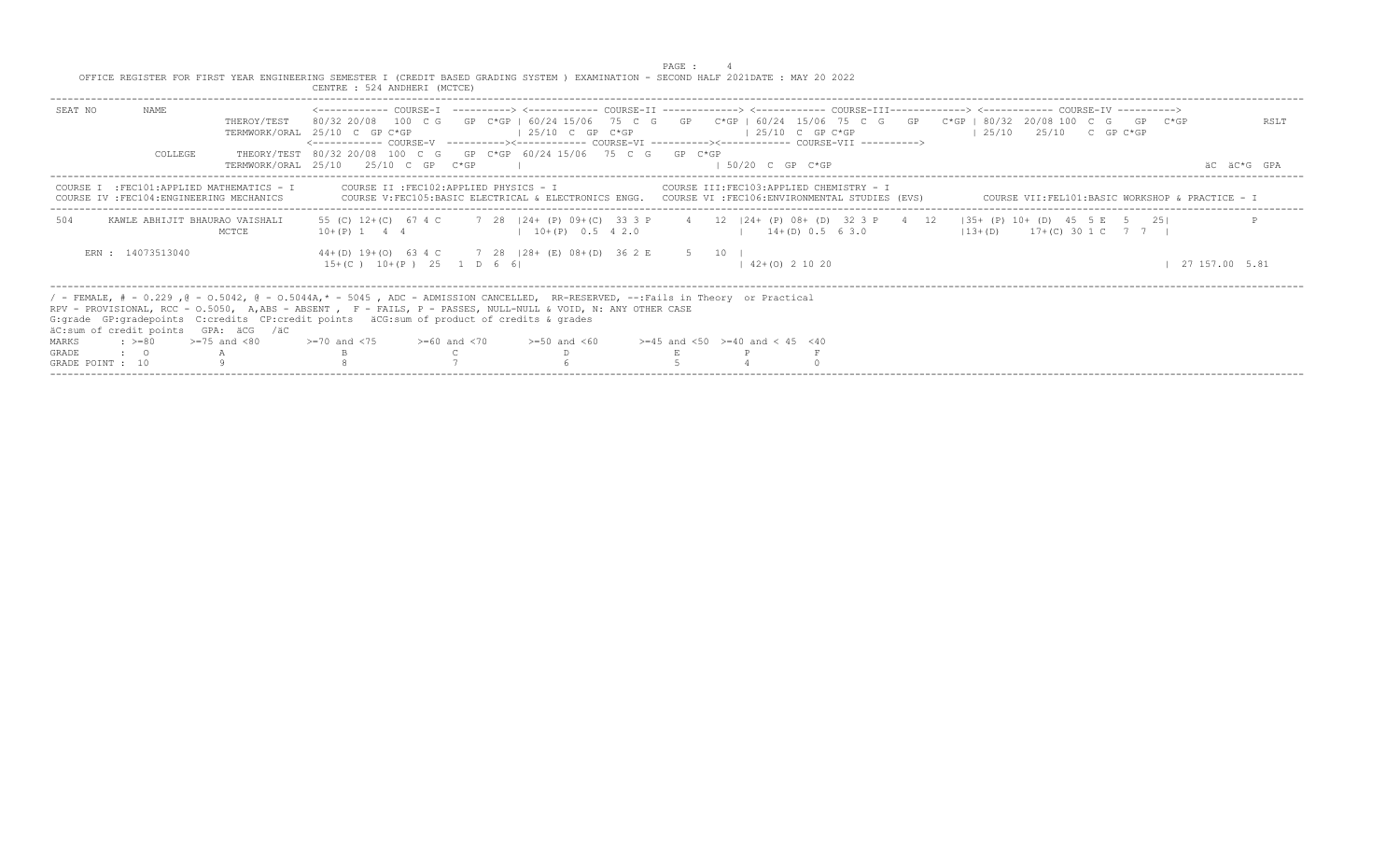|                                                                                                                                                             | CENTRE : 524 ANDHERI (MCTCE)                                                                                                                                                                                                                                                                                                                                                                            |                                                                                                                                                                                     |                                           |                                                                                                                                                        |                     |
|-------------------------------------------------------------------------------------------------------------------------------------------------------------|---------------------------------------------------------------------------------------------------------------------------------------------------------------------------------------------------------------------------------------------------------------------------------------------------------------------------------------------------------------------------------------------------------|-------------------------------------------------------------------------------------------------------------------------------------------------------------------------------------|-------------------------------------------|--------------------------------------------------------------------------------------------------------------------------------------------------------|---------------------|
| NAME.<br>SEAT NO<br>THEROY/TEST<br>COLLEGE                                                                                                                  | TERMWORK/ORAL 25/10 C GP C*GP<br><------------ COURSE-V ----------><----------- COURSE-VI ----------><------------ COURSE-VII ----------><br>THEORY/TEST 80/32 20/08 100 C G GP C*GP 60/24 15/06 75 C G GP C*GP<br>TERMWORK/ORAL 25/10 25/10 C GP C*GP                                                                                                                                                  | $125/10$ C GP C*GP                                                                                                                                                                  | $125/10$ C GP C*GP<br>$1.50/20$ C GP C*GP | 80/32 20/08 100 C G GP C*GP   60/24 15/06 75 C G GP C*GP   60/24 15/06 75 C G GP C*GP   80/32 20/08 100 C G GP C*GP<br>$125/10$ $25/10$ C GP C*GP      | RSLT<br>äC äC*G GPA |
| COURSE I : FEC101: APPLIED MATHEMATICS - I<br>IV : FEC104: ENGINEERING MECHANICS                                                                            |                                                                                                                                                                                                                                                                                                                                                                                                         | COURSE II :FEC102:APPLIED PHYSICS - I COURSE III:FEC103:APPLIED CHEMISTRY - I<br>COURSE V:FEC105:BASIC ELECTRICAL & ELECTRONICS ENGG. COURSE VI :FEC106:ENVIRONMENTAL STUDIES (EVS) |                                           | COURSE VII:FEL101:BASIC WORKSHOP & PRACTICE - I                                                                                                        |                     |
| 504<br>KAWLE ABHIJIT BHAURAO VAISHALI<br>MCTCE                                                                                                              | $10+(P)$ 1 4 4                                                                                                                                                                                                                                                                                                                                                                                          | $10+(P)$ 0.5 4 2.0                                                                                                                                                                  | $1 + (D) 0.5 6 3.0$                       | 55 (C) 12+(C) 67 4 C 7 28   24+ (P) 09+ (C) 33 3 P 4 12   24+ (P) 08+ (D) 32 3 P 4 12   35+ (P) 10+ (D) 45 5 E 5 25 <br>$13+(D)$ $17+(C)$ 30 1 C 7 7 1 |                     |
| ERN : 14073513040                                                                                                                                           | 44+(D) 19+(O) 63 4 C 7 28   28+ (E) 08+(D) 36 2 E 5 10  <br>$15+(C)$ $10+(P)$ $25$ 1 D 6 6                                                                                                                                                                                                                                                                                                              |                                                                                                                                                                                     | $142+(0)21020$                            |                                                                                                                                                        | 27 157.00 5.81      |
| äC:sum of credit points GPA: äCG /äC<br>$\Rightarrow$ $> = 80$ $\Rightarrow$ $= 75$ and $< 80$<br>MARKS<br>$\cdot$ $\cdot$ 0<br><b>GRADE</b><br>$\mathbb A$ | / - FEMALE, # - 0.229, @ - 0.5042, @ - 0.5044A,* - 5045, ADC - ADMISSION CANCELLED, RR-RESERVED, --:Fails in Theory or Practical<br>RPV - PROVISIONAL, RCC - 0.5050, A,ABS - ABSENT , F - FAILS, P - PASSES, NULL-NULL & VOID, N: ANY OTHER CASE<br>G: grade GP: gradepoints C: credits CP: credit points äCG: sum of product of credits & grades<br>$>=70$ and $<75$ $>=60$ and $<70$ $>=50$ and $<60$ |                                                                                                                                                                                     | $>=45$ and $<50$ $>=40$ and $< 45$ $<40$  |                                                                                                                                                        |                     |
| GRADE POINT : 10                                                                                                                                            |                                                                                                                                                                                                                                                                                                                                                                                                         |                                                                                                                                                                                     |                                           |                                                                                                                                                        |                     |

PAGE : 4<br>OFFICE REGISTER FOR FIRST YEAR ENGINEERING SEMESTER I (CREDIT BASED GRADING SYSTEM ) EXAMINATION - SECOND HALF 2021DATE : MAY 20 2022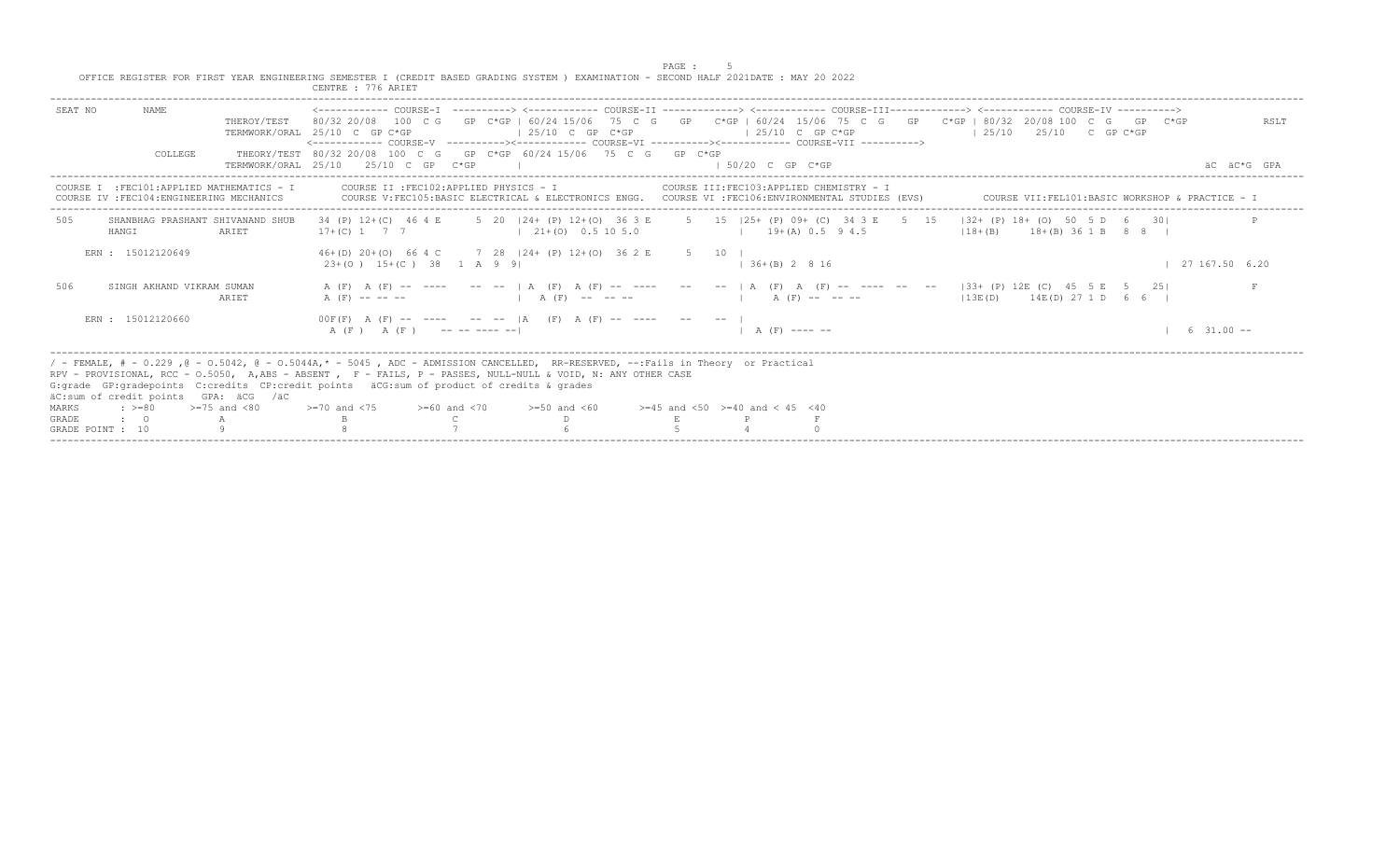|                                                                                                                                       |  | PAGE |  |
|---------------------------------------------------------------------------------------------------------------------------------------|--|------|--|
| OFFICE REGISTER FOR FIRST YEAR ENGINEERING SEMESTER I (CREDIT BASED GRADING SYSTEM ) EXAMINATION - SECOND HALF 2021DATE : MAY 20 2022 |  |      |  |

GRADE : O A B C D E P F<br>GRADE POINT : 10 9 9 8 7 7 6 5 4 0

 CENTRE : 776 ARIET SEAT NO NAME <------------ COURSE-I ----------> <------------ COURSE-II -------------> <------------ COURSE-III-------------> <------------ COURSE-IV ----------> THEROY/TEST 80/32 20/08 100 C G GP C\*GP | 60/24 15/06 75 C G GP C\*GP | 60/24 15/06 75 C G GP C\*GP | 80/32 20/08 100 C G GP C\*GP RSLT TERMWORK/ORAL 25/10 C GP C\*GP | 25/10 C GP C\*GP | 25/10 C GP C\*GP | 25/10 25/10 C GP C\*GP <------------ COURSE-V ----------><------------ COURSE-VI ----------><------------ COURSE-VII ----------> THEORY/TEST 80/32 20/08 100 C G GP C\*GP 60/24 15/06 75 C G GP C\*GP TERMWORK/ORAL 25/10 25/10 C GP C\*GP | | | 50/20 C GP C\*GP | | 50/20 C GP C\*GP  $\pm$ ----------------------------------------------------------------------------------------------------------------------------------------------------------------------------------------------------------------------- COURSE I :FEC101:APPLIED MATHEMATICS - I COURSE II :FEC102:APPLIED PHYSICS - I COURSE III:FEC103:APPLIED CHEMISTRY - I COURSE IV :FEC104:ENGINEERING MECHANICS COURSE V:FEC105:BASIC ELECTRICAL & ELECTRONICS ENGG. COURSE VI :FEC106:ENVIRONMENTAL STUDIES (EVS) COURSE VII:FEL101:BASIC WORKSHOP & PRACTICE - I ----------------------------------------------------------------------------------------------------------------------------------------------------------------------------------------------------------------------- 505 SHANBHAG PRASHANT SHIVANAND SHUB 34 (P) 12+(C) 46 4 E 5 20 |24+ (P) 12+(O) 36 3 E 5 15 |25+ (P) 09+ (C) 34 3 E 5 15 |32+ (P) 18+ (O) 50 5 D 6 30| P HANGI ARIET 17+(C) 1 7 7 | 21+(O) 0.5 10 5.0 | 19+(A) 0.5 9 4.5 | 18+(B) 18+(B) 36 1 B 8 8 | ERN : 15012120649 46+(D) 20+(O) 66 4 C 7 28 |24+ (P) 12+(O) 36 2 E 5 10 | 23+(O) 15+(C) 38 1 A 9 9| | | 36+(B) 2 8 16 | | 27 167.50 6.20 506 SINGH AKHAND VIKRAM SUMAN A (F) A (F) -- ---- -- | A (F) A (F) -- ---- -- -- | A (F) A (F) -- ---- -- -- -- | 33+ (P) 12E (C) 45 5 E 5 25| F ARIET A (F) ----- | A (F) ----- | A (F) ----- | A (F) ----- | A (F) ----- | |13E(D) 14E(D) 27 1 D 6 6 | ERN : 15012120660  $\overline{O(F(F)}$  A (F) -- ---- -- |A (F) A (F) -- ---- -- -- |<br>A (F) A (F) -- ---------- | A (F ) A (F ) -- -- ---- --| | A (F) ---- -- | 6 31.00 -- ----------------------------------------------------------------------------------------------------------------------------------------------------------------------------------------------------------------------- / - FEMALE, # - 0.229 ,@ - O.5042, @ - O.5044A,\* - 5045 , ADC - ADMISSION CANCELLED, RR-RESERVED, --:Fails in Theory or Practical RPV - PROVISIONAL, RCC - O.5050, A,ABS - ABSENT , F - FAILS, P - PASSES, NULL-NULL & VOID, N: ANY OTHER CASE G:grade GP:gradepoints C:credits CP:credit points äCG:sum of product of credits & grades äC:sum of credit points GPA: äCG /äC MARKS :  $>= 80$   $>= 75$  and  $< 80$   $>= 70$  and  $< 75$   $>= 60$  and  $< 70$   $>= 50$  and  $< 60$   $>= 45$  and  $< 50$   $>= 40$  and  $< 45$   $< 40$ 

-----------------------------------------------------------------------------------------------------------------------------------------------------------------------------------------------------------------------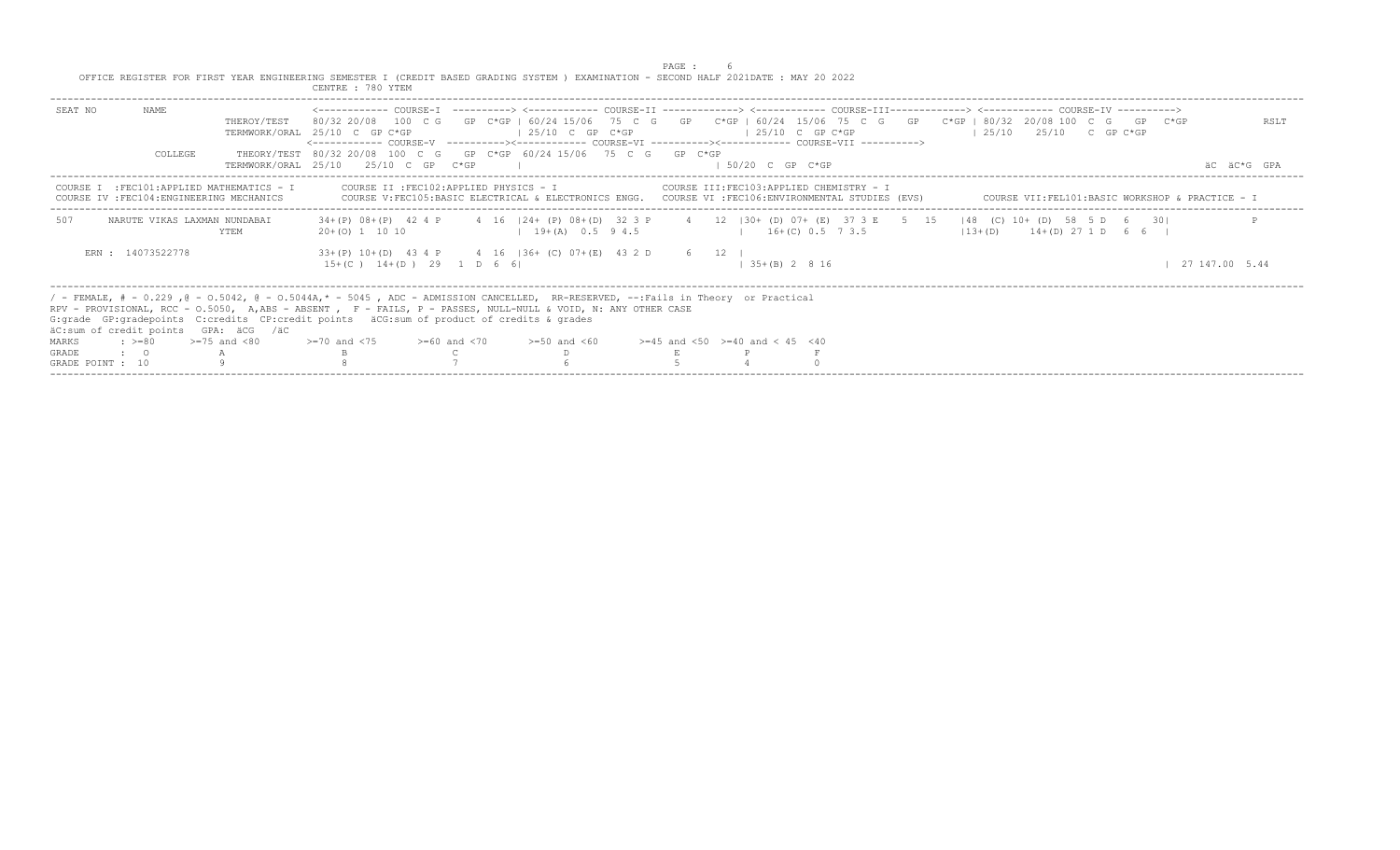|                                                                                                                                                          | CENTRE : 780 YTEM                                                                                                                                                                                                                                                                                                                                                                                                                                                                      |                     |
|----------------------------------------------------------------------------------------------------------------------------------------------------------|----------------------------------------------------------------------------------------------------------------------------------------------------------------------------------------------------------------------------------------------------------------------------------------------------------------------------------------------------------------------------------------------------------------------------------------------------------------------------------------|---------------------|
| NAME.<br>SEAT NO<br>THEROY/TEST<br>COLLEGE                                                                                                               | 80/32 20/08 100 C G GP C*GP   60/24 15/06 75 C G GP C*GP   60/24 15/06 75 C G GP C*GP   80/32 20/08 100 C G GP C*GP<br>$125/10$ C GP C*GP<br>$125/10$ $25/10$ $25/10$ C GP C*GP<br>TERMWORK/ORAL 25/10 C GP C*GP<br>$125/10$ C GP C*GP<br><------------ COURSE-V ----------><----------- COURSE-VI ----------><------------ COURSE-VII ----------><br>THEORY/TEST 80/32 20/08 100 C G GP C*GP 60/24 15/06 75 C G GP C*GP<br>$1.50/20$ C GP C*GP<br>TERMWORK/ORAL 25/10 25/10 C GP C*GP | RSLT<br>äC äC*G GPA |
| COURSE I : FEC101: APPLIED MATHEMATICS - I<br>IV : FEC104: ENGINEERING MECHANICS                                                                         | COURSE II :FEC102:APPLIED PHYSICS - I COURSE III:FEC103:APPLIED CHEMISTRY - I<br>COURSE V: FEC105: BASIC ELECTRICAL & ELECTRONICS ENGG. COURSE VI : FEC106: ENVIRONMENTAL STUDIES (EVS)<br>COURSE VII:FEL101:BASIC WORKSHOP & PRACTICE - I                                                                                                                                                                                                                                             |                     |
| 507<br>NARUTE VIKAS LAXMAN NUNDABAI<br>YTEM                                                                                                              | 34+(P) 08+(P) 42 4 P 4 16   24+ (P) 08+(D) 32 3 P 4 12   30+ (D) 07+ (E) 37 3 E 5 15   48 (C) 10+ (D) 58 5 D 6 30 <br>$19+(A)$ 0.5 9 4.5<br>$1 \t 16 + (C) \t 0.5 \t 7 \t 3.5$<br>$113+(D)$ $14+(D)$ 27 1 D 6 6 I<br>$20+(0)$ 1 10 10                                                                                                                                                                                                                                                  |                     |
| ERN: 14073522778                                                                                                                                         | 33+(P) 10+(D) 43 4 P 4 16   36+ (C) 07+(E) 43 2 D 6 12  <br>$15+(C)$ $14+(D)$ 29 1 D 6 6<br>$1$ 35+(B) 2 8 16                                                                                                                                                                                                                                                                                                                                                                          | 27 147.00 5.44      |
| äC:sum of credit points GPA: äCG /äC<br>$>=75$ and $< 80$<br>$: z = 80$<br>MARKS<br>$\cdot$ $\cdot$ 0<br><b>GRADE</b><br>$\mathbb A$<br>GRADE POINT : 10 | / - FEMALE, # - 0.229, @ - 0.5042, @ - 0.5044A,* - 5045, ADC - ADMISSION CANCELLED, RR-RESERVED, --:Fails in Theory or Practical<br>RPV - PROVISIONAL, RCC - 0.5050, A,ABS - ABSENT , F - FAILS, P - PASSES, NULL-NULL & VOID, N: ANY OTHER CASE<br>G: grade GP: gradepoints C: credits CP: credit points aCG: sum of product of credits & grades<br>$>=70$ and $<75$ $>=60$ and $<70$ $>=50$ and $<60$<br>$> = 45$ and $< 50$ $> = 40$ and $< 45$ $< 40$                              |                     |

PAGE : 6<br>OFFICE REGISTER FOR FIRST YEAR ENGINEERING SEMESTER I (CREDIT BASED GRADING SYSTEM ) EXAMINATION - SECOND HALF 2021DATE : MAY 20 2022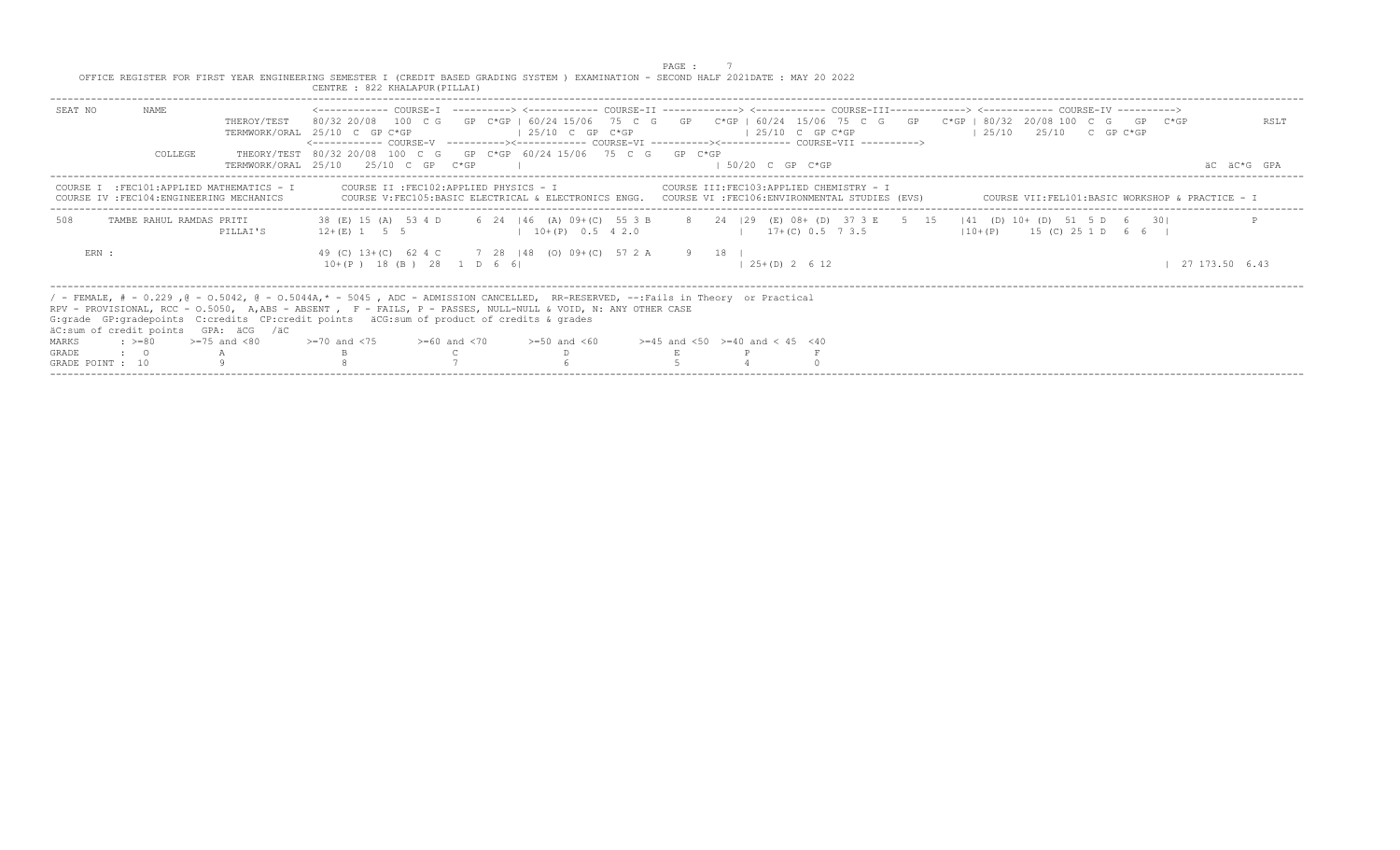|                                                                                                                                                                      | CENTRE : 822 KHALAPUR (PILLAI)                                                                                                                                                                                                                                                                                                                                                                                                                                                                                                                                                                                                                                                    |                     |
|----------------------------------------------------------------------------------------------------------------------------------------------------------------------|-----------------------------------------------------------------------------------------------------------------------------------------------------------------------------------------------------------------------------------------------------------------------------------------------------------------------------------------------------------------------------------------------------------------------------------------------------------------------------------------------------------------------------------------------------------------------------------------------------------------------------------------------------------------------------------|---------------------|
| NAMF.<br>SEAT NO<br>THEROY/TEST<br>COLLEGE                                                                                                                           | <------------ COURSE-T -----------> <------------ COURSE-TT --------------> <------------- COURSE-TU COURSE-TV -----------> COURSE-TTT----------------> <----------- COURSE-TV ----------><br>80/32 20/08 100 C G GP C*GP   60/24 15/06 75 C G GP C*GP   60/24 15/06 75 C G GP C*GP   80/32 20/08 100 C G GP C*GP<br>$125/10$ C GP C*GP<br>$125/10$ $25/10$ C GP C*GP<br>TERMWORK/ORAL 25/10 C GP C*GP<br>$125/10$ C GP C*GP<br><------------ COURSE-V ----------><----------- COURSE-VI ----------><------------ COURSE-VII ----------><br>THEORY/TEST 80/32 20/08 100 C G GP C*GP 60/24 15/06 75 C G GP C*GP<br>$150/20$ C GP $C*GP$<br>$TERMWORK/ORAL$ 25/10 25/10 C GP $C*GP$ | RSLT<br>äC äC*G GPA |
| COURSE I : FEC101: APPLIED MATHEMATICS - I<br>COURSE IV : FEC104: ENGINEERING MECHANICS                                                                              | COURSE II :FEC102:APPLIED PHYSICS - I COURSE III:FEC103:APPLIED CHEMISTRY - I<br>COURSE V:FEC105:BASIC ELECTRICAL & ELECTRONICS ENGG. COURSE VI :FEC106:ENVIRONMENTAL STUDIES (EVS)<br>COURSE VII:FEL101:BASIC WORKSHOP & PRACTICE - I                                                                                                                                                                                                                                                                                                                                                                                                                                            |                     |
| 508<br>TAMBE RAHUL RAMDAS PRITI<br>PILLAI'S                                                                                                                          | 38 (E) 15 (A) 53 4 D 6 24   46 (A) 09+ (C) 55 3 B 8 24   29 (E) 08+ (D) 37 3 E 5 15   41 (D) 10+ (D) 51 5 D 6 30  <br>$17+(C)$ 0.5 7 3.5<br>$110+(P)$ 15 (C) 25 1 D 6 6  <br>$12+(E)$ 1 5 5<br>$10+(P)$ 0.5 4 2.0                                                                                                                                                                                                                                                                                                                                                                                                                                                                 |                     |
| ERN :                                                                                                                                                                | 49 (C) 13+(C) 62 4 C 7 28   48 (0) 09+(C) 57 2 A 9 18  <br>$10+(P)$ 18 (B) 28 1 D 6 6<br>$125+(D)2612$                                                                                                                                                                                                                                                                                                                                                                                                                                                                                                                                                                            | 27 173.50 6.43      |
| äC:sum of credit points GPA: äCG /äC<br>$\Rightarrow$ $>=$ 80 $\Rightarrow$ $=$ 75 and <80<br>MARKS<br>GRADE<br>$\cdot$ $\cdot$ 0<br>$\mathbb A$<br>GRADE POINT : 10 | / - FEMALE, # - 0.229, @ - 0.5042, @ - 0.5044A,* - 5045, ADC - ADMISSION CANCELLED, RR-RESERVED, --:Fails in Theory or Practical<br>RPV - PROVISIONAL, RCC - 0.5050, A,ABS - ABSENT , F - FAILS, P - PASSES, NULL-NULL & VOID, N: ANY OTHER CASE<br>G: qrade GP: qradepoints C: credits CP: credit points äCG: sum of product of credits & qrades<br>$>=70$ and $<75$ $>=60$ and $<70$ $>=50$ and $<60$ $>=45$ and $<50$ $>=40$ and $< 45$ $<40$                                                                                                                                                                                                                                  |                     |

PAGE : 7 OFFICE REGISTER FOR FIRST YEAR ENGINEERING SEMESTER I (CREDIT BASED GRADING SYSTEM ) EXAMINATION - SECOND HALF 2021DATE : MAY 20 2022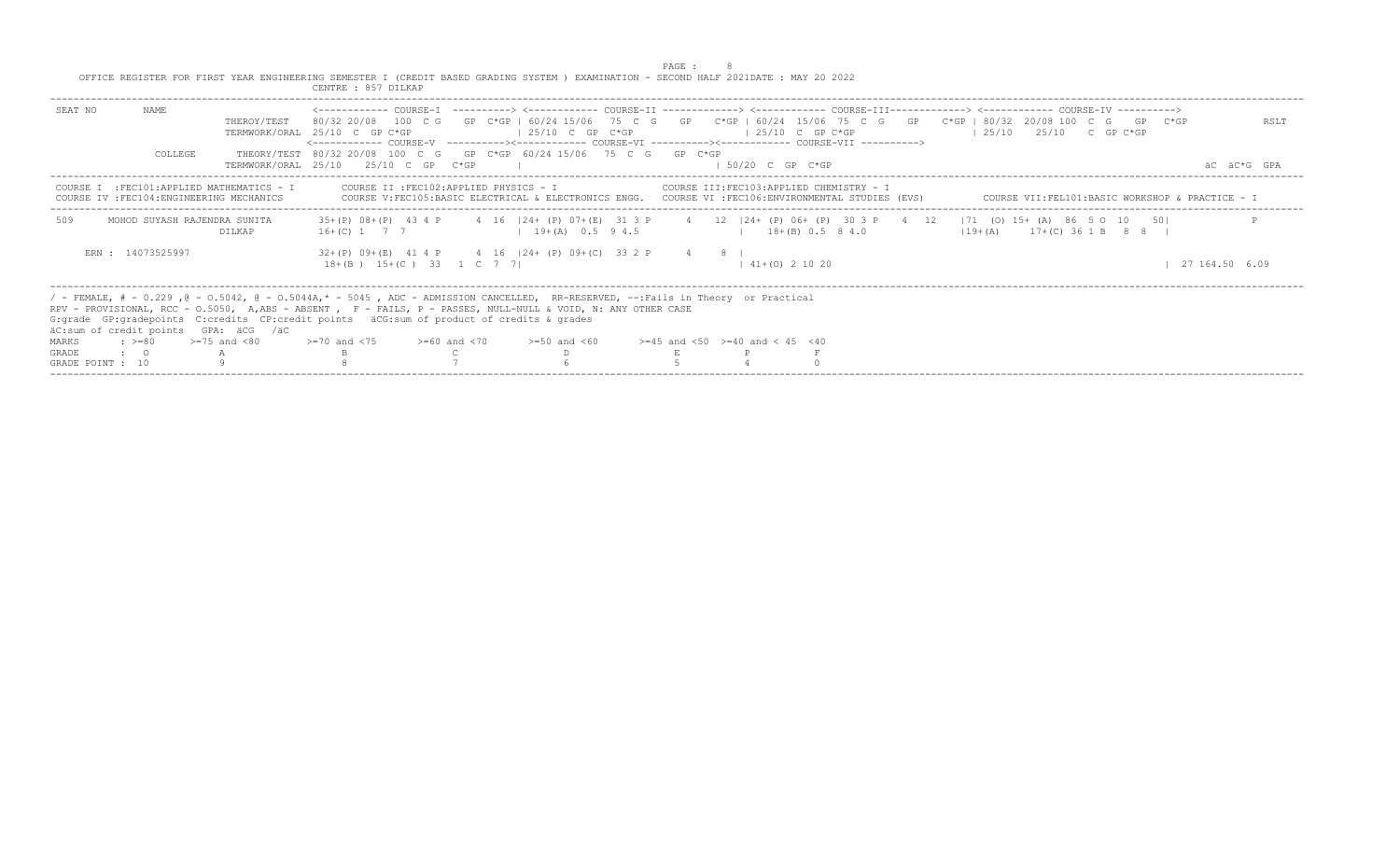|                                    |                   |                                                                                                | OFFICE REGISTER FOR FIRST YEAR ENGINEERING SEMESTER I (CREDIT BASED GRADING SYSTEM ) EXAMINATION - SECOND HALF 2021DATE : MAY 20 2022<br>CENTRE : 857 DILKAP                                                                                                                                                                                                                                                                                                                                                                                       |                                                                                                                                                                                     | PAGE : |                                           |                    |                                    |                                                 |                     |  |
|------------------------------------|-------------------|------------------------------------------------------------------------------------------------|----------------------------------------------------------------------------------------------------------------------------------------------------------------------------------------------------------------------------------------------------------------------------------------------------------------------------------------------------------------------------------------------------------------------------------------------------------------------------------------------------------------------------------------------------|-------------------------------------------------------------------------------------------------------------------------------------------------------------------------------------|--------|-------------------------------------------|--------------------|------------------------------------|-------------------------------------------------|---------------------|--|
| SEAT NO                            | NAME<br>COLLEGE   | THEROY/TEST                                                                                    | <------------ COURSE-T ----------> <----------- COURSE-TT -------------> <------------ COURSE-TTT------------> <------------ COURSE-TV ----------><br>80/32 20/08 100 C G GP C*GP   60/24 15/06 75 C G GP C*GP   60/24 15/06 75 C G GP C*GP   80/32 20/08 100 C G GP C*GP<br>TERMWORK/ORAL 25/10 C GP C*GP<br><------------ COURSE-V    ----------><-----------    COURSE-VI    -----------><----------    COURSE-VII    ----------><br>THEORY/TEST 80/32 20/08 100 C G GP C*GP 60/24 15/06 75 C G GP C*GP<br>TERMWORK/ORAI, 25/10 25/10 C GP C*GP | $125/10$ C GP $C*GP$                                                                                                                                                                |        | $125/10$ C GP C*GP<br>$1.50/20$ C GP C*GP |                    | $125/10$ $25/10$ $25/10$ C GP C*GP |                                                 | RSLT<br>AC AC*G GPA |  |
|                                    |                   | COURSE I : FEC101:APPLIED MATHEMATICS - I<br>COURSE IV : FEC104: ENGINEERING MECHANICS         |                                                                                                                                                                                                                                                                                                                                                                                                                                                                                                                                                    | COURSE II :FEC102:APPLIED PHYSICS - I COURSE III:FEC103:APPLIED CHEMISTRY - I<br>COURSE V:FEC105:BASIC ELECTRICAL & ELECTRONICS ENGG. COURSE VI :FEC106:ENVIRONMENTAL STUDIES (EVS) |        |                                           |                    |                                    | COURSE VII:FEL101:BASIC WORKSHOP & PRACTICE - I |                     |  |
| 509                                |                   | MOHOD SUYASH RAJENDRA SUNITA<br>DILKAP                                                         | 35+(P) 08+(P) 43 4 P 4 16   24+ (P) 07+(E) 31 3 P 4 12   24+ (P) 06+ (P) 30 3 P 4 12   71 (O) 15+ (A) 86 5 O 10 50 <br>$16+(C)$ 1 7 7 1 9 + (A) 0.5 9 4.5                                                                                                                                                                                                                                                                                                                                                                                          |                                                                                                                                                                                     |        |                                           | $18+(B) 0.5 8 4.0$ |                                    | $(19 + (A) 17 + (C) 36 1 B 8 8 1$               |                     |  |
|                                    | ERN: 14073525997  |                                                                                                | $32+(P)$ 09+(E) 41 4 P 4 16   24+ (P) 09+(C) 33 2 P 4 8  <br>$18+(B)$ $15+(C)$ 33 1 C 7 7                                                                                                                                                                                                                                                                                                                                                                                                                                                          |                                                                                                                                                                                     |        | $141+(0)21020$                            |                    |                                    |                                                 | 27 164.50 6.09      |  |
| MARKS<br>GRADE<br>GRADE POINT : 10 | $\cdot$ $\cdot$ 0 | äC:sum of credit points GPA: äCG /äC<br>$\Rightarrow$ $> = 80$ $\Rightarrow$ $= 75$ and $< 80$ | / - FEMALE, # - 0.229, @ - 0.5042, @ - 0.5044A,* - 5045, ADC - ADMISSION CANCELLED, RR-RESERVED, --:Fails in Theory or Practical<br>RPV - PROVISIONAL, RCC - 0.5050, A.ABS - ABSENT, F - FAILS, P - PASSES, NULL-NULL & VOID, N: ANY OTHER CASE<br>G: qrade GP: qradepoints C: credits CP: credit points äCG: sum of product of credits & qrades<br>$> = 70$ and $< 75$ $> = 60$ and $< 70$ $> = 50$ and $< 60$ $> = 45$ and $< 50$ $> = 40$ and $< 45$ $< 40$                                                                                     |                                                                                                                                                                                     |        |                                           |                    |                                    |                                                 |                     |  |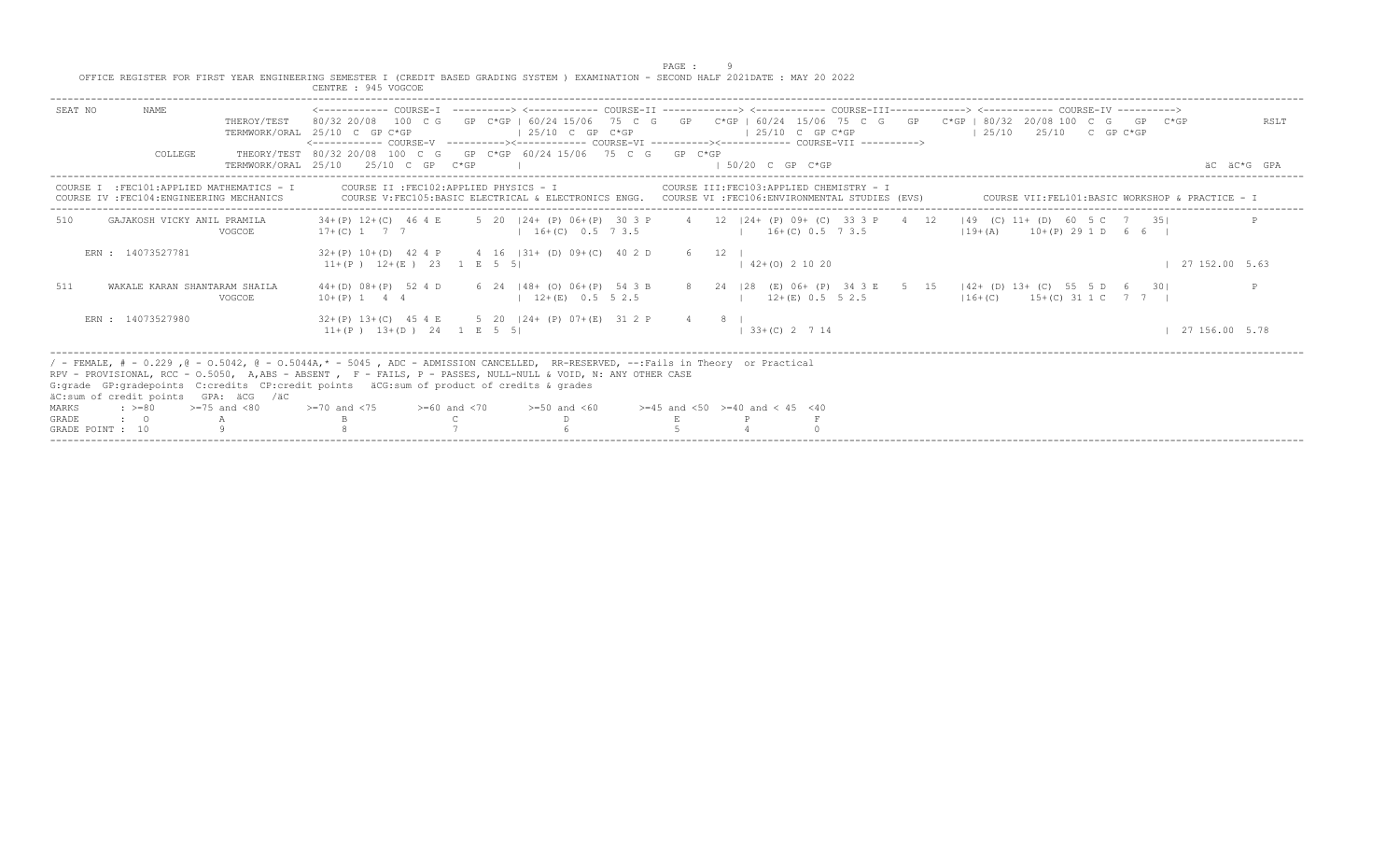|  | PAGE                                                                                                                                  |  |  |  |
|--|---------------------------------------------------------------------------------------------------------------------------------------|--|--|--|
|  | OFFICE REGISTER FOR FIRST YEAR ENGINEERING SEMESTER I (CREDIT BASED GRADING SYSTEM ) EXAMINATION - SECOND HALF 2021DATE : MAY 20 2022 |  |  |  |
|  | CENTRE : 945 VOGCOE                                                                                                                   |  |  |  |

|                                                                                                                              | CENTRE : 945 VOGCOE                                                                                                                                                                                                                                                                                                                                                                                                                                                                            |      |
|------------------------------------------------------------------------------------------------------------------------------|------------------------------------------------------------------------------------------------------------------------------------------------------------------------------------------------------------------------------------------------------------------------------------------------------------------------------------------------------------------------------------------------------------------------------------------------------------------------------------------------|------|
| SEAT NO<br>NAME.<br>THEROY/TEST<br>COLLEGE                                                                                   | 80/32 20/08 100 C G GP C*GP   60/24 15/06 75 C G GP C*GP   60/24 15/06 75 C G GP C*GP   80/32 20/08 100 C G GP C*GP<br>$125/10$ C GP C*GP<br>125/10<br>TERMWORK/ORAL 25/10 C GP C*GP<br>$125/10$ C GP C*GP<br>2.5/10 C GP C*GP<br><------------ COURSE-V ----------><------------ COURSE-VI ----------><----------- COURSE-VII ---------->><br>THEORY/TEST 80/32 20/08 100 C G GP C*GP 60/24 15/06 75 C G GP C*GP<br>TERMWORK/ORAL 25/10 25/10 C GP C*GP<br>$1.50/20$ C GP C*GP<br>äC äC*G GPA | RSLT |
| :FEC101:APPLIED MATHEMATICS - I<br>COURSE IV : FEC104: ENGINEERING MECHANICS                                                 | COURSE II : FEC102: APPLIED PHYSICS - I<br>COURSE III: FEC103: APPLIED CHEMISTRY - I<br>COURSE V:FEC105:BASIC ELECTRICAL & ELECTRONICS ENGG. COURSE VI :FEC106:ENVIRONMENTAL STUDIES (EVS)<br>COURSE VII: FEL101: BASIC WORKSHOP & PRACTICE - I                                                                                                                                                                                                                                                |      |
| 510<br>GAJAKOSH VICKY ANTI, PRAMILA<br>VOGCOE                                                                                | 5 20 124+ (P) 06+ (P) 30 3 P 4 12 124+ (P) 09+ (C) 33 3 P 4 12 149 (C) 11+ (D) 60 5 C 7 351<br>$34+(P)$ 12+(C) 46 4 E<br>$1, 16+(C), 0.5, 7, 3.5$<br>$16+(C)$ 0.5 7 3.5<br>$119+(A)$ $10+(P)$ 29 1 D 6 6 I<br>$17+(C)$ 1 7 7                                                                                                                                                                                                                                                                   |      |
| ERN: 14073527781                                                                                                             | $32+(P)$ 10+(D) 42 4 P 4 16  31+ (D) 09+(C) 40 2 D<br>6 12<br>$11+(P)$ $12+(E)$ $23$ 1 E 5 5<br>$1$ 27 152.00 5.63<br>$142+(0)21020$                                                                                                                                                                                                                                                                                                                                                           |      |
| 511<br>WAKALE KARAN SHANTARAM SHAILA<br>VOGCOE                                                                               | 44+(D) 08+(P) 52 4 D 6 24  48+ (O) 06+(P) 54 3 B 8 24  28 (E) 06+ (P) 34 3 E 5 15  42+ (D) 13+ (C) 55 5 D 6 30 <br>$12+(E)$ 0.5 5 2.5<br>$ 16+(C)$ 15+(C) 31 1 C 7 7  <br>$12+(E)$ 0.5 5 2.5<br>$10+(P)$ 1 4 4                                                                                                                                                                                                                                                                                 |      |
| ERN: 14073527980                                                                                                             | 32+(P) 13+(C) 45 4 E 5 20   24+ (P) 07+(E) 31 2 P<br>$\overline{4}$ $\overline{8}$ $\overline{1}$<br>$11+(P)$ $13+(D)$ 24 1 E 5 5<br>$1, 33 + (C), 2, 7, 14$<br>127156.005.78                                                                                                                                                                                                                                                                                                                  |      |
| äC:sum of credit points GPA: äCG /äC<br>$>=75$ and $<80$<br>$: \; > = 80$<br>MARKS<br>GRADE<br>$\cdot$ 0<br>GRADE POINT : 10 | / - FEMALE, # - 0.229, @ - 0.5042, @ - 0.5044A,* - 5045, ADC - ADMISSION CANCELLED, RR-RESERVED, --:Fails in Theory or Practical<br>RPV - PROVISIONAL, RCC - 0.5050, A,ABS - ABSENT , F - FAILS, P - PASSES, NULL-NULL & VOID, N: ANY OTHER CASE<br>G: grade GP: gradepoints C: credits CP: credit points aCG: sum of product of credits & grades<br>>=70 and <75<br>$>=60$ and $<70$<br>$>=50$ and $<60$<br>$>=45$ and $<50$ $>=40$ and $< 45$ $<40$                                          |      |

-----------------------------------------------------------------------------------------------------------------------------------------------------------------------------------------------------------------------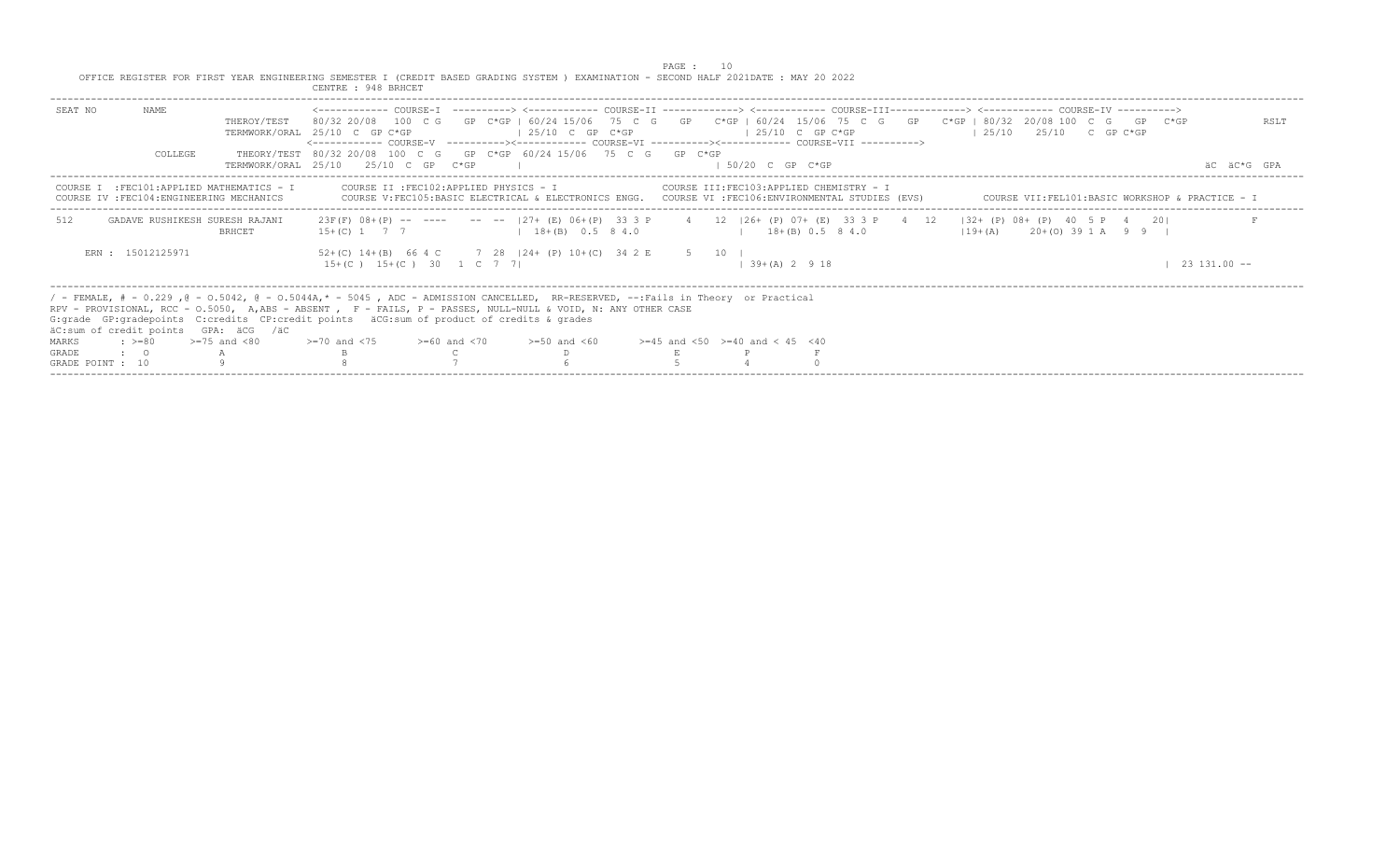|                                                                                                                                                            | CENTRE : 948 BRHCET                                                                                                                                                                                                                                                                                                                                                                                                                                                            |                     |
|------------------------------------------------------------------------------------------------------------------------------------------------------------|--------------------------------------------------------------------------------------------------------------------------------------------------------------------------------------------------------------------------------------------------------------------------------------------------------------------------------------------------------------------------------------------------------------------------------------------------------------------------------|---------------------|
| NAMF.<br>SEAT NO<br>THEROY/TEST<br>COLLEGE                                                                                                                 | 80/32 20/08 100 C G GP C*GP   60/24 15/06 75 C G GP C*GP   60/24 15/06 75 C G GP C*GP   80/32 20/08 100 C G GP C*GP<br>$125/10$ C GP C*GP<br>$125/10$ $25/10$ C GP C*GP<br>TERMWORK/ORAL 25/10 C GP C*GP<br>$125/10$ C GP C*GP<br><------------ COURSE-V ----------><----------- COURSE-VI ----------><------------ COURSE-VII ----------><br>THEORY/TEST 80/32 20/08 100 C G GP C*GP 60/24 15/06 75 C G GP C*GP<br>TERMWORK/ORAL 25/10 25/10 C GP C*GP<br>$1.50/20$ C GP C*GP | RSLT<br>äC äC*G GPA |
| COURSE I : FEC101: APPLIED MATHEMATICS - I<br>COURSE IV : FEC104: ENGINEERING MECHANICS                                                                    | COURSE II :FEC102:APPLIED PHYSICS - I COURSE III:FEC103:APPLIED CHEMISTRY - I<br>COURSE V:FEC105:BASIC ELECTRICAL & ELECTRONICS ENGG. COURSE VI :FEC106:ENVIRONMENTAL STUDIES (EVS)<br>COURSE VII:FEL101:BASIC WORKSHOP & PRACTICE - I                                                                                                                                                                                                                                         |                     |
| 512<br>GADAVE RUSHIKESH SURESH RAJANI<br><b>BRHCET</b>                                                                                                     | 23F(F) 08+(P) -- ---- -- -- 127+ (E) 06+(P) 33 3 P 4 12   26+ (P) 07+ (E) 33 3 P 4 12   32+ (P) 08+ (P) 40 5 P 4 20 <br>$15+(C)$ 1 7 7 1 18 + (B) 0.5 8 4.0<br>$1 \t18+(B) \t0.5 \t8 4.0$<br>$119+(A)$ 20+(0) 39 1 A 9 9 1                                                                                                                                                                                                                                                     |                     |
| ERN : 15012125971                                                                                                                                          | 52+(C) 14+(B) 66 4 C 7 28   24+ (P) 10+(C) 34 2 E 5 10  <br>$15+(C)$ $15+(C)$ 30 1 C 7 7<br>$139+(A)2918$<br>$23, 131, 00$ --                                                                                                                                                                                                                                                                                                                                                  |                     |
| äC:sum of credit points GPA: äCG /äC<br>$\Rightarrow$ $>= 80$ $>= 75$ and $< 80$<br>MARKS<br>GRADE<br>$\cdot$ $\cdot$ 0<br>$\mathbb A$<br>GRADE POINT : 10 | / - FEMALE, # - 0.229, @ - 0.5042, @ - 0.5044A,* - 5045, ADC - ADMISSION CANCELLED, RR-RESERVED, --:Fails in Theory or Practical<br>RPV - PROVISIONAL, RCC - 0.5050, A,ABS - ABSENT , F - FAILS, P - PASSES, NULL-NULL & VOID, N: ANY OTHER CASE<br>G: qrade GP: qradepoints C: credits CP: credit points äCG: sum of product of credits & qrades<br>$>=70$ and $<75$ $>=60$ and $<70$ $>=50$ and $<60$ $>=45$ and $<50$ $>=40$ and $< 45$ $<40$                               |                     |

PAGE : 10<br>OFFICE REGISTER FOR FIRST YEAR ENGINEERING SEMESTER I (CREDIT BASED GRADING SYSTEM ) EXAMINATION - SECOND HALF 2021DATE : MAY 20 2022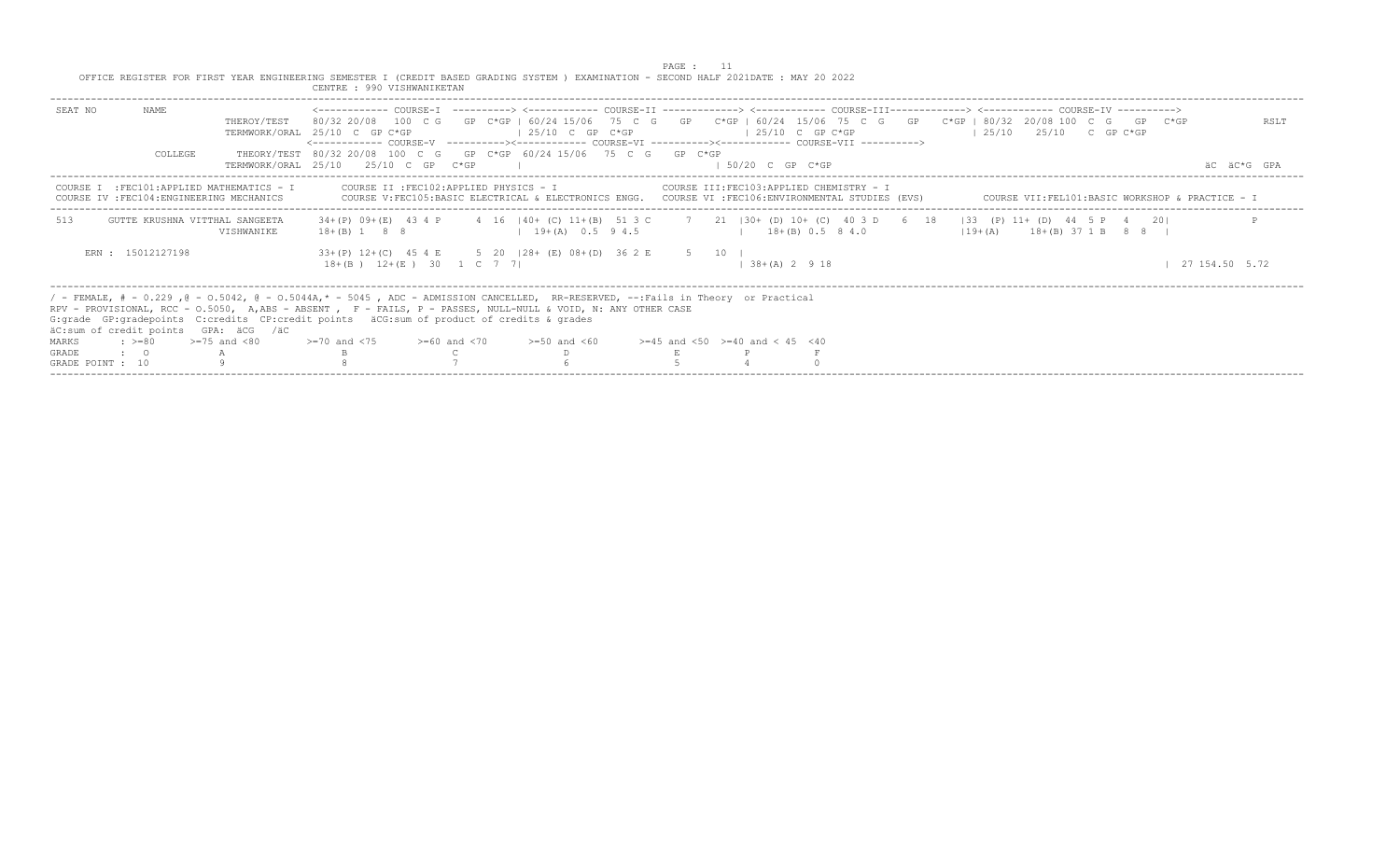|                                   |                                           |                                            | OFFICE REGISTER FOR FIRST YEAR ENGINEERING SEMESTER I (CREDIT BASED GRADING SYSTEM ) EXAMINATION - SECOND HALF 2021DATE: MAY 20 2022<br>CENTRE : 990 VISHWANIKETAN                                                                                                                                                                                                                                                                    |                                                                                                    | PAGE : |                     |                                           |                                   |                                                 |                |  |
|-----------------------------------|-------------------------------------------|--------------------------------------------|---------------------------------------------------------------------------------------------------------------------------------------------------------------------------------------------------------------------------------------------------------------------------------------------------------------------------------------------------------------------------------------------------------------------------------------|----------------------------------------------------------------------------------------------------|--------|---------------------|-------------------------------------------|-----------------------------------|-------------------------------------------------|----------------|--|
| SEAT NO                           | NAME                                      | THEROY/TEST                                | <------------ COURSE-T ----------> <----------- COURSE-TT -------------> <------------ COURSE-TTT------------> <------------ COURSE-TV -----------><br>80/32 20/08 100 C G GP C*GP I 60/24 15/06 75 C G GP C*GP   60/24 15/06 75 C G GP C*GP   80/32 20/08 100 C G GP C*GP<br>TERMWORK/ORAL 25/10 C GP C*GP<br><------------ COURSE-V    ----------><-----------    COURSE-VI    -----------><----------    COURSE-VII    ----------> | $125/10$ C GP C*GP                                                                                 |        | $125/10$ C GP C*GP  |                                           | $125/10$ $25/10$ C GP C*GP        |                                                 | RSLT           |  |
|                                   | COLLEGE                                   |                                            | THEORY/TEST 80/32 20/08 100 C G GP C*GP 60/24 15/06 75 C G GP C*GP<br>TERMWORK/ORAL 25/10 25/10 C GP C*GP                                                                                                                                                                                                                                                                                                                             |                                                                                                    |        | $1.50/20$ C GP C*GP |                                           |                                   |                                                 | AC AC*G GPA    |  |
|                                   | COURSE IV : FEC104: ENGINEERING MECHANICS | COURSE I : FEC101: APPLIED MATHEMATICS - I | COURSE II : FEC102: APPLIED PHYSICS - I                                                                                                                                                                                                                                                                                                                                                                                               | COURSE V:FEC105:BASIC ELECTRICAL & ELECTRONICS ENGG. COURSE VI :FEC106:ENVIRONMENTAL STUDIES (EVS) |        |                     | COURSE III: FEC103: APPLIED CHEMISTRY - I |                                   | COURSE VII:FEL101:BASIC WORKSHOP & PRACTICE - I |                |  |
| 513                               | GUTTE KRUSHNA VITTHAL SANGEETA            | VISHWANIKE                                 | 34+(P) 09+(E) 43 4 P 4 16   40+ (C) 11+(B) 51 3 C 7 21   30+ (D) 10+ (C) 40 3 D 6 18   33 (P) 11+ (D) 44 5 P 4 20 <br>$18 + (B)$ 1 8 8                                                                                                                                                                                                                                                                                                | $1 \t3+ (A) \t0.5 \t9.4.5$ $1 \t18+ (B) \t0.5 \t8.4.0$                                             |        |                     |                                           | $(19 + (A)$ $18 + (B)$ 37 1 B 8 8 |                                                 |                |  |
|                                   | ERN : 15012127198                         |                                            | 33+(P) 12+(C) 45 4 E 5 20   28+ (E) 08+(D) 36 2 E 5 10  <br>$18+(B)$ $12+(E)$ 30 1 C 7 7                                                                                                                                                                                                                                                                                                                                              |                                                                                                    |        | $138+(A) 2918$      |                                           |                                   |                                                 | 27 154.50 5.72 |  |
|                                   |                                           | äC:sum of credit points GPA: äCG /äC       | / - FEMALE, # - 0.229, @ - 0.5042, @ - 0.5044A,* - 5045, ADC - ADMISSION CANCELLED, RR-RESERVED, --:Fails in Theory or Practical<br>RPV - PROVISIONAL, RCC - 0.5050, A,ABS - ABSENT , F - FAILS, P - PASSES, NULL-NULL & VOID, N: ANY OTHER CASE<br>G:grade GP:gradepoints C:credits CP:credit points äCG:sum of product of credits & grades                                                                                          |                                                                                                    |        |                     |                                           |                                   |                                                 |                |  |
| MARKS<br>$: z = 80$               |                                           | $>=75$ and $< 80$                          | $> = 70$ and $< 75$ $> = 60$ and $< 70$ $> = 50$ and $< 60$ $> = 45$ and $< 50$ $> = 40$ and $< 45$ $< 40$                                                                                                                                                                                                                                                                                                                            |                                                                                                    |        |                     |                                           |                                   |                                                 |                |  |
| <b>GRADE</b><br>$\cdot$ $\cdot$ 0 |                                           |                                            |                                                                                                                                                                                                                                                                                                                                                                                                                                       |                                                                                                    |        |                     |                                           |                                   |                                                 |                |  |
| GRADE POINT : 10                  |                                           |                                            |                                                                                                                                                                                                                                                                                                                                                                                                                                       |                                                                                                    |        |                     |                                           |                                   |                                                 |                |  |